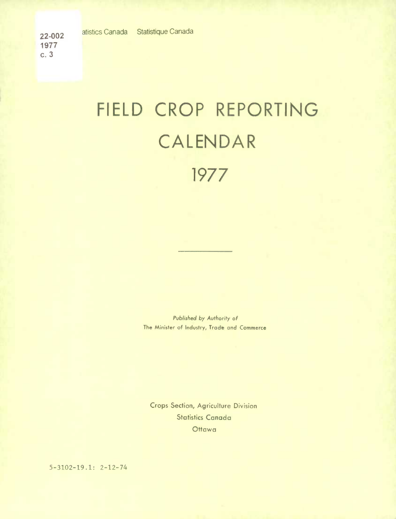**1977 c. 3** 

## FIELD CROP REPORTING CALENDAR 1977

*Published by Authority of*  The Minister of Industry, Trade and Commerce

Crops Section, Agriculture Division Statistics Canada **Ottawa** 

5-3102-19.1: 2-12-74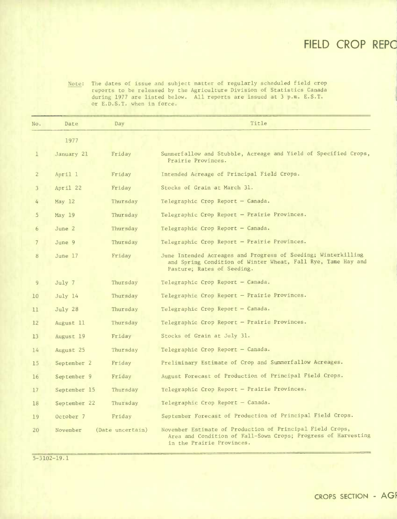## **FIELD CROP REPC**

Note: The dates of issue and subject matter of regularly scheduled field crop reports to be released by the Agriculture Division of Statistics Canada during 1977 are listed below. All reports are issued at 3 p.m. E.S.T. or E.D.S.T. when in force.

| No.                      | Date         | Day              | Title                                                                                                                                                       |  |
|--------------------------|--------------|------------------|-------------------------------------------------------------------------------------------------------------------------------------------------------------|--|
|                          | 1977         |                  |                                                                                                                                                             |  |
| $\mathbf{1}$             | January 21   | Friday           | Summerfallow and Stubble, Acreage and Yield of Specified Crops,<br>Prairie Provinces.                                                                       |  |
| $\overline{c}$           | April 1      | Friday           | Intended Acreage of Principal Field Crops.                                                                                                                  |  |
| $\overline{3}$           | April 22     | Friday           | Stocks of Grain at March 31.                                                                                                                                |  |
| 4                        | May $12$     | Thursday         | Telegraphic Crop Report - Canada.                                                                                                                           |  |
| $\overline{5}$           | May 19       | Thursday         | Telegraphic Crop Report - Prairie Provinces.                                                                                                                |  |
| 6                        | June 2       | Thursday         | Telegraphic Crop Report - Canada.                                                                                                                           |  |
| $\overline{\phantom{a}}$ | June 9       | Thursday         | Telegraphic Crop Report - Prairie Provinces.                                                                                                                |  |
| 8                        | June $17$    | Friday           | June Intended Acreages and Progress of Seeding; Winterkilling<br>and Spring Condition of Winter Wheat, Fall Rye, Tame Hay and<br>Pasture; Rates of Seeding. |  |
| 9                        | July 7       | Thursday         | Telegraphic Crop Report - Canada.                                                                                                                           |  |
| 10                       | July 14      | Thursday         | Telegraphic Crop Report - Prairie Provinces.                                                                                                                |  |
| 11                       | July 28      | Thursday         | Telegraphic Crop Report - Canada.                                                                                                                           |  |
| 12                       | August 11    | Thursday         | Telegraphic Crop Report - Prairie Provinces.                                                                                                                |  |
| 13                       | August 19    | Friday           | Stocks of Grain at July 31.                                                                                                                                 |  |
| 14                       | August 25    | Thursday         | Telegraphic Crop Report - Canada.                                                                                                                           |  |
| 15                       | September 2  | Friday           | Preliminary Estimate of Crop and Summerfallow Acreages.                                                                                                     |  |
| 16                       | September 9  | Friday           | August Forecast of Production of Principal Field Crops.                                                                                                     |  |
| 17                       | September 15 | Thursday         | Telegraphic Crop Report - Prairie Provinces.                                                                                                                |  |
| 18                       | September 22 | Thursday         | Telegraphic Crop Report - Canada.                                                                                                                           |  |
| 19                       | October 7    | Friday           | September Forecast of Production of Principal Field Crops.                                                                                                  |  |
| 20                       | November     | (Date uncertain) | November Estimate of Production of Principal Field Crops,<br>Area and Condition of Fall-Sown Crops; Progress of Harvesting<br>in the Prairie Provinces.     |  |

5-3102-19.1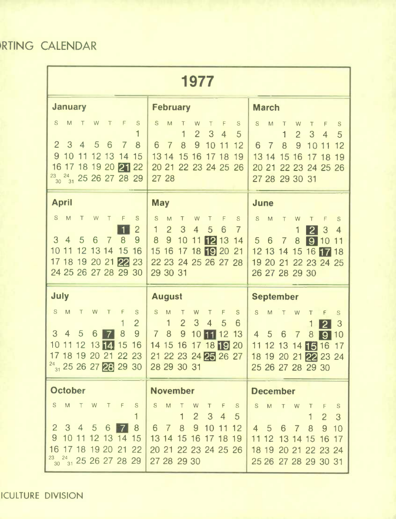RTING CALENDAR

| 1977                                                                                                                                                                                                                                       |                                                                                                                                                                                                                                                               |                                                                                                                                                                                                                               |  |  |  |
|--------------------------------------------------------------------------------------------------------------------------------------------------------------------------------------------------------------------------------------------|---------------------------------------------------------------------------------------------------------------------------------------------------------------------------------------------------------------------------------------------------------------|-------------------------------------------------------------------------------------------------------------------------------------------------------------------------------------------------------------------------------|--|--|--|
| <b>January</b>                                                                                                                                                                                                                             | <b>February</b>                                                                                                                                                                                                                                               | <b>March</b>                                                                                                                                                                                                                  |  |  |  |
| M<br>S.<br>W<br>Τ<br>T<br>F<br>S<br>3<br>$\overline{2}$<br>5<br>6<br>8<br>$\overline{4}$<br>7 <sup>1</sup><br>9 10 11 12 13 14 15<br>16 17 18 19 20 21 22<br>$\frac{23}{30}$ $\frac{24}{31}$ 25 26 27 28 29                                | S<br>M<br>W<br>F<br>$\mathbf S$<br>Τ<br>T<br>$\overline{2}$<br>$\mathbf 1$<br>3 <sup>5</sup><br>$\overline{4}$<br>$\sqrt{5}$<br>9<br>$\overline{7}$<br>8<br>6<br>10<br>11<br>12<br>13 14 15 16 17 18 19<br>20 21 22 23 24 25 26<br>27 28                      | $\mathsf S$<br>M<br>W<br>T<br>T<br>F<br>${\mathbf S}$<br>$\overline{2}$<br>3<br>1<br>$\overline{4}$<br>5<br>8<br>9<br>6<br>10<br>$\overline{7}$<br>11<br>12<br>13 14 15 16 17 18 19<br>20 21 22 23 24 25 26<br>27 28 29 30 31 |  |  |  |
| <b>April</b>                                                                                                                                                                                                                               | <b>May</b>                                                                                                                                                                                                                                                    | <b>June</b>                                                                                                                                                                                                                   |  |  |  |
| S -<br>M<br>T<br>W<br>F<br>S<br>$\top$<br>$\overline{2}$<br>$\overline{8}$<br>$3\quad 4$<br>5<br>9<br>6<br>7 <sup>1</sup><br>10 11 12 13 14 15 16<br>17 18 19 20 21 22 23<br>24 25 26 27 28 29 30                                          | $\mathbf S$<br>M<br>$\top$<br>S<br>${\sf W}$<br>$\mathsf F$<br>$\top$<br>$\overline{2}$<br>3<br>$\mathbf{1}$<br>$\overline{4}$<br>5<br>6<br>$\overline{7}$<br>8<br>9<br>10<br>12 13 14<br>11<br>15 16 17 18 19 20 21<br>22 23 24 25 26 27 28<br>29 30 31      | S<br>M<br>T<br>W<br>F<br>S<br>T<br>$\overline{4}$<br> 2 <br>3<br>1<br>5 6 7<br>8<br>910<br>11<br>12 13 14 15 16 17 18<br>19 20 21 22 23 24 25<br>26 27 28 29 30                                                               |  |  |  |
| July                                                                                                                                                                                                                                       | <b>August</b>                                                                                                                                                                                                                                                 | <b>September</b>                                                                                                                                                                                                              |  |  |  |
| S.<br>M<br>T<br>W<br>F<br>S<br>T<br>$\overline{2}$<br>1<br>3<br>9<br>8<br>$\overline{5}$<br>4<br>6<br>$\vert 7 \vert$<br>$^{24}$ <sub>31</sub> 25 26 27 28 29 30 28 29 30 31                                                               | S.<br>M<br>$\top$<br>W<br>F<br>$\mathbf S$<br>$\top$<br>$\overline{2}$<br>3<br>$\mathbf{1}$<br>$\overline{4}$<br>6<br>5<br>9<br>$78$<br>10 11 12<br>13 <sup>°</sup><br>10 11 12 13 14 15 16 14 15 16 17 18 19 20<br>17 18 19 20 21 22 23 21 22 23 24 25 26 27 | S<br>M<br>W<br>Τ<br>T<br>F<br>S<br> 2 <br>3<br>4 5 6<br>8<br>$\overline{7}$<br>10<br>191<br>11 12 13 14 15 16 17<br>18 19 20 21 22 23 24<br>25 26 27 28 29 30                                                                 |  |  |  |
| <b>October</b>                                                                                                                                                                                                                             | <b>November</b>                                                                                                                                                                                                                                               | <b>December</b>                                                                                                                                                                                                               |  |  |  |
| S M<br>T W T F<br>${\mathsf S}$<br>1<br>2 3 4 5 6<br>8<br>$\blacksquare$<br>9 10 11 12 13 14 15<br>16 17 18 19 20 21 22<br>$\begin{array}{ c c c c c c }\hline ^{23} & _{24} & _{25} & _{26} & _{27} & _{28} & _{29} \ \hline \end{array}$ | S M<br>$\top$<br>W<br>T F S<br>2 3 4 5<br>1<br>6 7 8 9 10 11 12<br>13 14 15 16 17 18 19<br>20 21 22 23 24 25 26<br>27 28 29 30                                                                                                                                | M T W<br>S<br>$\top$<br>F<br>S.<br>$\overline{2}$<br>3<br>9<br>4 5 6<br>8<br>$\overline{7}$<br>10<br>11 12 13 14 15 16 17<br>18 19 20 21 22 23 24<br>25 26 27 28 29 30 31                                                     |  |  |  |

ICULTURE DIVISION